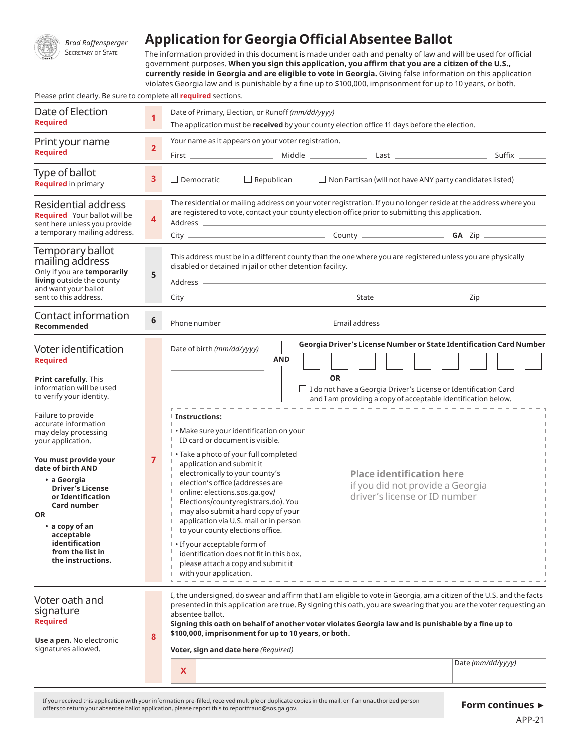

*Brad Raffensperger*

## **Application for Georgia Official Absentee Ballot**

SECRETARY OF STATE The information provided in this document is made under oath and penalty of law and will be used for official government purposes. **When you sign this application, you affirm that you are a citizen of the U.S., currently reside in Georgia and are eligible to vote in Georgia.** Giving false information on this application violates Georgia law and is punishable by a fine up to \$100,000, imprisonment for up to 10 years, or both.

Please print clearly. Be sure to complete all **required** sections.

| Date of Election<br><b>Required</b>                                                                                                                                                                                                                                                                                                                                                                                                                                    | 1                       | Date of Primary, Election, or Runoff (mm/dd/yyyy)<br>The application must be received by your county election office 11 days before the election.                                                                                                                                    |                                                                                                                                                                                                                                                                                                                                                |                                                      |                                                                                                                                                                                                                                                                                                                                                                          |  |  |
|------------------------------------------------------------------------------------------------------------------------------------------------------------------------------------------------------------------------------------------------------------------------------------------------------------------------------------------------------------------------------------------------------------------------------------------------------------------------|-------------------------|--------------------------------------------------------------------------------------------------------------------------------------------------------------------------------------------------------------------------------------------------------------------------------------|------------------------------------------------------------------------------------------------------------------------------------------------------------------------------------------------------------------------------------------------------------------------------------------------------------------------------------------------|------------------------------------------------------|--------------------------------------------------------------------------------------------------------------------------------------------------------------------------------------------------------------------------------------------------------------------------------------------------------------------------------------------------------------------------|--|--|
| Print your name<br><b>Required</b>                                                                                                                                                                                                                                                                                                                                                                                                                                     | $\overline{\mathbf{2}}$ |                                                                                                                                                                                                                                                                                      | Your name as it appears on your voter registration.                                                                                                                                                                                                                                                                                            |                                                      |                                                                                                                                                                                                                                                                                                                                                                          |  |  |
| Type of ballot<br><b>Required</b> in primary                                                                                                                                                                                                                                                                                                                                                                                                                           | 3                       | $\Box$ Democratic                                                                                                                                                                                                                                                                    | $\Box$ Republican                                                                                                                                                                                                                                                                                                                              |                                                      | $\Box$ Non Partisan (will not have ANY party candidates listed)                                                                                                                                                                                                                                                                                                          |  |  |
| Residential address<br>Required Your ballot will be<br>sent here unless you provide<br>a temporary mailing address.                                                                                                                                                                                                                                                                                                                                                    | 4                       |                                                                                                                                                                                                                                                                                      | The residential or mailing address on your voter registration. If you no longer reside at the address where you<br>are registered to vote, contact your county election office prior to submitting this application.<br>Address and the contract of the contract of the contract of the contract of the contract of the contract of the        |                                                      |                                                                                                                                                                                                                                                                                                                                                                          |  |  |
| Temporary ballot<br>mailing address<br>Only if you are temporarily<br>living outside the county<br>and want your ballot<br>sent to this address.                                                                                                                                                                                                                                                                                                                       | 5                       |                                                                                                                                                                                                                                                                                      | This address must be in a different county than the one where you are registered unless you are physically<br>disabled or detained in jail or other detention facility.<br>Address and the contract of the contract of the contract of the contract of the contract of the contract of the                                                     |                                                      |                                                                                                                                                                                                                                                                                                                                                                          |  |  |
| Contact information<br>Recommended                                                                                                                                                                                                                                                                                                                                                                                                                                     | 6                       |                                                                                                                                                                                                                                                                                      |                                                                                                                                                                                                                                                                                                                                                |                                                      |                                                                                                                                                                                                                                                                                                                                                                          |  |  |
| Voter identification<br><b>Required</b><br><b>Print carefully.</b> This<br>information will be used<br>to verify your identity.<br>Failure to provide<br>accurate information<br>may delay processing<br>your application.<br>You must provide your<br>date of birth AND<br>• a Georgia<br><b>Driver's License</b><br>or Identification<br>Card number<br><b>OR</b><br>$\bullet$ a copy of an<br>acceptable<br>identification<br>from the list in<br>the instructions. | $\overline{7}$          | Date of birth (mm/dd/yyyy)<br><b>Instructions:</b><br>ID card or document is visible.<br>application and submit it<br>electronically to your county's<br>online: elections.sos.ga.gov/<br>to your county elections office.<br>• If your acceptable form of<br>with your application. | <b>AND</b><br>I . Make sure your identification on your<br>• Take a photo of your full completed<br>election's office (addresses are<br>Elections/countyregistrars.do). You<br>may also submit a hard copy of your<br>application via U.S. mail or in person<br>identification does not fit in this box,<br>please attach a copy and submit it | $\overline{\phantom{a}}$ OR $\overline{\phantom{a}}$ | Georgia Driver's License Number or State Identification Card Number<br>$\Box$ I do not have a Georgia Driver's License or Identification Card<br>and I am providing a copy of acceptable identification below.<br><b>Place identification here</b><br>if you did not provide a Georgia<br>driver's license or ID number                                                  |  |  |
| Voter oath and<br>signature<br><b>Required</b><br>Use a pen. No electronic<br>signatures allowed.                                                                                                                                                                                                                                                                                                                                                                      | 8                       | absentee ballot.<br>X                                                                                                                                                                                                                                                                | \$100,000, imprisonment for up to 10 years, or both.<br>Voter, sign and date here (Required)                                                                                                                                                                                                                                                   |                                                      | I, the undersigned, do swear and affirm that I am eligible to vote in Georgia, am a citizen of the U.S. and the facts<br>presented in this application are true. By signing this oath, you are swearing that you are the voter requesting an<br>Signing this oath on behalf of another voter violates Georgia law and is punishable by a fine up to<br>Date (mm/dd/yyyy) |  |  |

If you received this application with your information pre-filled, received multiple or duplicate copies in the mail, or if an unauthorized person offers to return your absentee ballot application, please report this to reportfraud@sos.ga.gov.

## **Form continues ►**